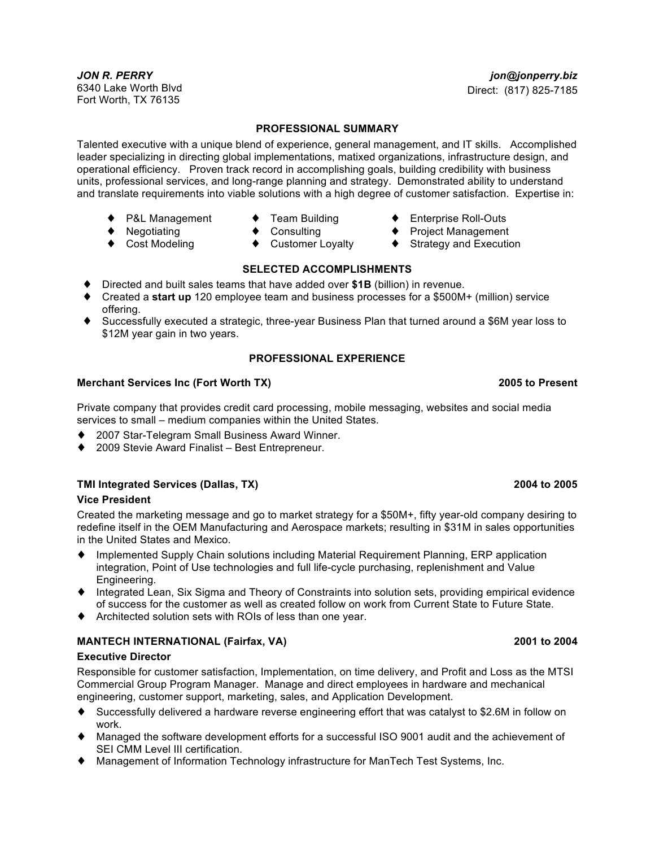*JON R. PERRY jon@jonperry.biz* 6340 Lake Worth Blvd Fort Worth, TX 76135

Direct: (817) 825-7185

### **PROFESSIONAL SUMMARY**

Talented executive with a unique blend of experience, general management, and IT skills. Accomplished leader specializing in directing global implementations, matixed organizations, infrastructure design, and operational efficiency. Proven track record in accomplishing goals, building credibility with business units, professional services, and long-range planning and strategy. Demonstrated ability to understand and translate requirements into viable solutions with a high degree of customer satisfaction. Expertise in:

- 
- 
- 
- 
- 
- 
- 
- ♦ P&L Management ♦ Team Building ♦ Enterprise Roll-Outs
- ◆ Negotiating ◆ Consulting Project Management Customer Loyalty Strategy and Executic  $\bullet$  Customer Loyalty  $\bullet$  Strategy and Execution
	- **SELECTED ACCOMPLISHMENTS**
- ♦ Directed and built sales teams that have added over **\$1B** (billion) in revenue.
- ♦ Created a **start up** 120 employee team and business processes for a \$500M+ (million) service offering.
- ♦ Successfully executed a strategic, three-year Business Plan that turned around a \$6M year loss to \$12M year gain in two years.

### **PROFESSIONAL EXPERIENCE**

### **Merchant Services Inc (Fort Worth TX) 2005 to Present**

Private company that provides credit card processing, mobile messaging, websites and social media services to small – medium companies within the United States.

- ♦ 2007 Star-Telegram Small Business Award Winner.
- ♦ 2009 Stevie Award Finalist Best Entrepreneur.

### **TMI Integrated Services (Dallas, TX) 2004 to 2005**

### **Vice President**

Created the marketing message and go to market strategy for a \$50M+, fifty year-old company desiring to redefine itself in the OEM Manufacturing and Aerospace markets; resulting in \$31M in sales opportunities in the United States and Mexico.

- Implemented Supply Chain solutions including Material Requirement Planning, ERP application integration, Point of Use technologies and full life-cycle purchasing, replenishment and Value Engineering.
- ♦ Integrated Lean, Six Sigma and Theory of Constraints into solution sets, providing empirical evidence of success for the customer as well as created follow on work from Current State to Future State.
- ♦ Architected solution sets with ROIs of less than one year.

# **MANTECH INTERNATIONAL (Fairfax, VA) 2001 to 2004**

### **Executive Director**

Responsible for customer satisfaction, Implementation, on time delivery, and Profit and Loss as the MTSI Commercial Group Program Manager. Manage and direct employees in hardware and mechanical engineering, customer support, marketing, sales, and Application Development.

- ♦ Successfully delivered a hardware reverse engineering effort that was catalyst to \$2.6M in follow on work.
- ♦ Managed the software development efforts for a successful ISO 9001 audit and the achievement of SEI CMM Level III certification.
- ♦ Management of Information Technology infrastructure for ManTech Test Systems, Inc.